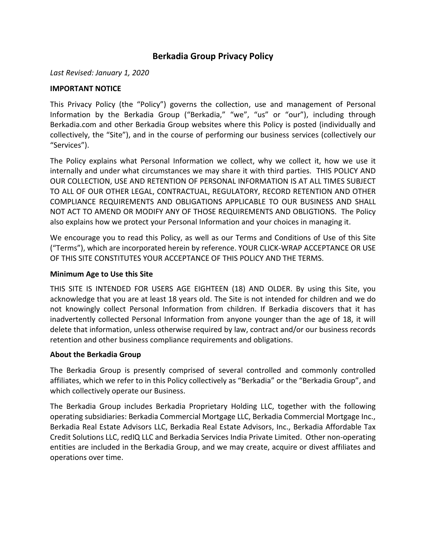# **Berkadia Group Privacy Policy**

*Last Revised: January 1, 2020*

#### **IMPORTANT NOTICE**

This Privacy Policy (the "Policy") governs the collection, use and management of Personal Information by the Berkadia Group ("Berkadia," "we", "us" or "our"), including through Berkadia.com and other Berkadia Group websites where this Policy is posted (individually and collectively, the "Site"), and in the course of performing our business services (collectively our "Services").

The Policy explains what Personal Information we collect, why we collect it, how we use it internally and under what circumstances we may share it with third parties. THIS POLICY AND OUR COLLECTION, USE AND RETENTION OF PERSONAL INFORMATION IS AT ALL TIMES SUBJECT TO ALL OF OUR OTHER LEGAL, CONTRACTUAL, REGULATORY, RECORD RETENTION AND OTHER COMPLIANCE REQUIREMENTS AND OBLIGATIONS APPLICABLE TO OUR BUSINESS AND SHALL NOT ACT TO AMEND OR MODIFY ANY OF THOSE REQUIREMENTS AND OBLIGTIONS. The Policy also explains how we protect your Personal Information and your choices in managing it.

We encourage you to read this Policy, as well as our Terms and Conditions of Use of this Site ("Terms"), which are incorporated herein by reference. YOUR CLICK-WRAP ACCEPTANCE OR USE OF THIS SITE CONSTITUTES YOUR ACCEPTANCE OF THIS POLICY AND THE TERMS.

#### **Minimum Age to Use this Site**

THIS SITE IS INTENDED FOR USERS AGE EIGHTEEN (18) AND OLDER. By using this Site, you acknowledge that you are at least 18 years old. The Site is not intended for children and we do not knowingly collect Personal Information from children. If Berkadia discovers that it has inadvertently collected Personal Information from anyone younger than the age of 18, it will delete that information, unless otherwise required by law, contract and/or our business records retention and other business compliance requirements and obligations.

#### **About the Berkadia Group**

The Berkadia Group is presently comprised of several controlled and commonly controlled affiliates, which we refer to in this Policy collectively as "Berkadia" or the "Berkadia Group", and which collectively operate our Business.

The Berkadia Group includes Berkadia Proprietary Holding LLC, together with the following operating subsidiaries: Berkadia Commercial Mortgage LLC, Berkadia Commercial Mortgage Inc., Berkadia Real Estate Advisors LLC, Berkadia Real Estate Advisors, Inc., Berkadia Affordable Tax Credit Solutions LLC, redIQ LLC and Berkadia Services India Private Limited. Other non-operating entities are included in the Berkadia Group, and we may create, acquire or divest affiliates and operations over time.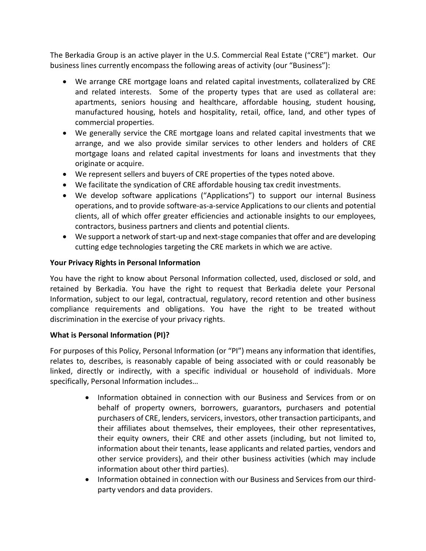The Berkadia Group is an active player in the U.S. Commercial Real Estate ("CRE") market. Our business lines currently encompass the following areas of activity (our "Business"):

- We arrange CRE mortgage loans and related capital investments, collateralized by CRE and related interests. Some of the property types that are used as collateral are: apartments, seniors housing and healthcare, affordable housing, student housing, manufactured housing, hotels and hospitality, retail, office, land, and other types of commercial properties.
- We generally service the CRE mortgage loans and related capital investments that we arrange, and we also provide similar services to other lenders and holders of CRE mortgage loans and related capital investments for loans and investments that they originate or acquire.
- We represent sellers and buyers of CRE properties of the types noted above.
- We facilitate the syndication of CRE affordable housing tax credit investments.
- We develop software applications ("Applications") to support our internal Business operations, and to provide software-as-a-service Applications to our clients and potential clients, all of which offer greater efficiencies and actionable insights to our employees, contractors, business partners and clients and potential clients.
- We support a network of start-up and next-stage companies that offer and are developing cutting edge technologies targeting the CRE markets in which we are active.

#### **Your Privacy Rights in Personal Information**

You have the right to know about Personal Information collected, used, disclosed or sold, and retained by Berkadia. You have the right to request that Berkadia delete your Personal Information, subject to our legal, contractual, regulatory, record retention and other business compliance requirements and obligations. You have the right to be treated without discrimination in the exercise of your privacy rights.

### **What is Personal Information (PI)?**

For purposes of this Policy, Personal Information (or "PI") means any information that identifies, relates to, describes, is reasonably capable of being associated with or could reasonably be linked, directly or indirectly, with a specific individual or household of individuals. More specifically, Personal Information includes…

- Information obtained in connection with our Business and Services from or on behalf of property owners, borrowers, guarantors, purchasers and potential purchasers of CRE, lenders, servicers, investors, other transaction participants, and their affiliates about themselves, their employees, their other representatives, their equity owners, their CRE and other assets (including, but not limited to, information about their tenants, lease applicants and related parties, vendors and other service providers), and their other business activities (which may include information about other third parties).
- Information obtained in connection with our Business and Services from our thirdparty vendors and data providers.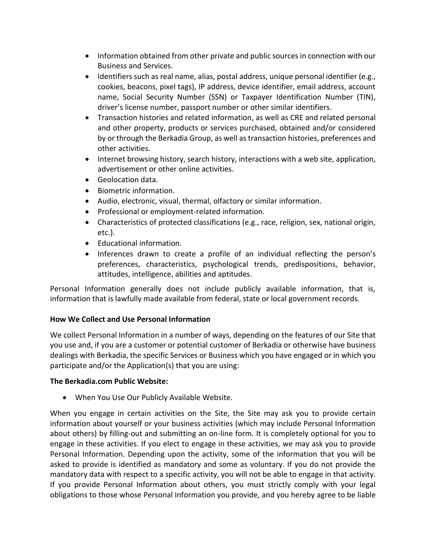- Information obtained from other private and public sources in connection with our Business and Services.
- Identifiers such as real name, alias, postal address, unique personal identifier (e.g., cookies, beacons, pixel tags), IP address, device identifier, email address, account name, Social Security Number (SSN) or Taxpayer Identification Number (TIN), driver's license number, passport number or other similar identifiers.
- Transaction histories and related information, as well as CRE and related personal and other property, products or services purchased, obtained and/or considered by or through the Berkadia Group, as well as transaction histories, preferences and other activities.
- Internet browsing history, search history, interactions with a web site, application, advertisement or other online activities.
- Geolocation data.
- Biometric information.
- Audio, electronic, visual, thermal, olfactory or similar information.
- Professional or employment-related information.
- Characteristics of protected classifications (e.g., race, religion, sex, national origin, etc.).
- Educational information.
- Inferences drawn to create a profile of an individual reflecting the person's preferences, characteristics, psychological trends, predispositions, behavior, attitudes, intelligence, abilities and aptitudes.

Personal Information generally does not include publicly available information, that is, information that is lawfully made available from federal, state or local government records.

### **How We Collect and Use Personal Information**

We collect Personal Information in a number of ways, depending on the features of our Site that you use and, if you are a customer or potential customer of Berkadia or otherwise have business dealings with Berkadia, the specific Services or Business which you have engaged or in which you participate and/or the Application(s) that you are using:

#### **The Berkadia.com Public Website:**

• When You Use Our Publicly Available Website.

When you engage in certain activities on the Site, the Site may ask you to provide certain information about yourself or your business activities (which may include Personal Information about others) by filling-out and submitting an on-line form. It is completely optional for you to engage in these activities. If you elect to engage in these activities, we may ask you to provide Personal Information. Depending upon the activity, some of the information that you will be asked to provide is identified as mandatory and some as voluntary. If you do not provide the mandatory data with respect to a specific activity, you will not be able to engage in that activity. If you provide Personal Information about others, you must strictly comply with your legal obligations to those whose Personal Information you provide, and you hereby agree to be liable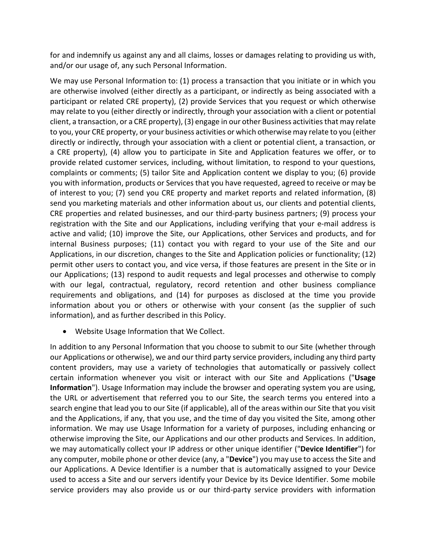for and indemnify us against any and all claims, losses or damages relating to providing us with, and/or our usage of, any such Personal Information.

We may use Personal Information to: (1) process a transaction that you initiate or in which you are otherwise involved (either directly as a participant, or indirectly as being associated with a participant or related CRE property), (2) provide Services that you request or which otherwise may relate to you (either directly or indirectly, through your association with a client or potential client, a transaction, or a CRE property), (3) engage in our other Business activities that may relate to you, your CRE property, or your business activities or which otherwise may relate to you (either directly or indirectly, through your association with a client or potential client, a transaction, or a CRE property), (4) allow you to participate in Site and Application features we offer, or to provide related customer services, including, without limitation, to respond to your questions, complaints or comments; (5) tailor Site and Application content we display to you; (6) provide you with information, products or Services that you have requested, agreed to receive or may be of interest to you; (7) send you CRE property and market reports and related information, (8) send you marketing materials and other information about us, our clients and potential clients, CRE properties and related businesses, and our third-party business partners; (9) process your registration with the Site and our Applications, including verifying that your e-mail address is active and valid; (10) improve the Site, our Applications, other Services and products, and for internal Business purposes; (11) contact you with regard to your use of the Site and our Applications, in our discretion, changes to the Site and Application policies or functionality; (12) permit other users to contact you, and vice versa, if those features are present in the Site or in our Applications; (13) respond to audit requests and legal processes and otherwise to comply with our legal, contractual, regulatory, record retention and other business compliance requirements and obligations, and (14) for purposes as disclosed at the time you provide information about you or others or otherwise with your consent (as the supplier of such information), and as further described in this Policy.

• Website Usage Information that We Collect.

In addition to any Personal Information that you choose to submit to our Site (whether through our Applications or otherwise), we and our third party service providers, including any third party content providers, may use a variety of technologies that automatically or passively collect certain information whenever you visit or interact with our Site and Applications ("**Usage Information**"). Usage Information may include the browser and operating system you are using, the URL or advertisement that referred you to our Site, the search terms you entered into a search engine that lead you to our Site (if applicable), all of the areas within our Site that you visit and the Applications, if any, that you use, and the time of day you visited the Site, among other information. We may use Usage Information for a variety of purposes, including enhancing or otherwise improving the Site, our Applications and our other products and Services. In addition, we may automatically collect your IP address or other unique identifier ("**Device Identifier**") for any computer, mobile phone or other device (any, a "**Device**") you may use to access the Site and our Applications. A Device Identifier is a number that is automatically assigned to your Device used to access a Site and our servers identify your Device by its Device Identifier. Some mobile service providers may also provide us or our third-party service providers with information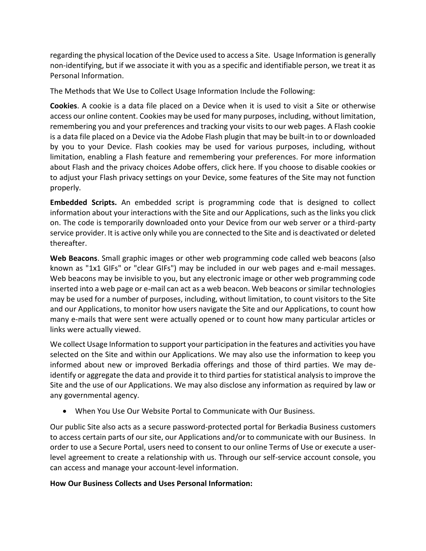regarding the physical location of the Device used to access a Site. Usage Information is generally non-identifying, but if we associate it with you as a specific and identifiable person, we treat it as Personal Information.

The Methods that We Use to Collect Usage Information Include the Following:

**Cookies**. A cookie is a data file placed on a Device when it is used to visit a Site or otherwise access our online content. Cookies may be used for many purposes, including, without limitation, remembering you and your preferences and tracking your visits to our web pages. A Flash cookie is a data file placed on a Device via the Adobe Flash plugin that may be built-in to or downloaded by you to your Device. Flash cookies may be used for various purposes, including, without limitation, enabling a Flash feature and remembering your preferences. For more information about Flash and the privacy choices Adobe offers, click here. If you choose to disable cookies or to adjust your Flash privacy settings on your Device, some features of the Site may not function properly.

**Embedded Scripts.** An embedded script is programming code that is designed to collect information about your interactions with the Site and our Applications, such as the links you click on. The code is temporarily downloaded onto your Device from our web server or a third-party service provider. It is active only while you are connected to the Site and is deactivated or deleted thereafter.

**Web Beacons**. Small graphic images or other web programming code called web beacons (also known as "1x1 GIFs" or "clear GIFs") may be included in our web pages and e-mail messages. Web beacons may be invisible to you, but any electronic image or other web programming code inserted into a web page or e-mail can act as a web beacon. Web beacons or similar technologies may be used for a number of purposes, including, without limitation, to count visitors to the Site and our Applications, to monitor how users navigate the Site and our Applications, to count how many e-mails that were sent were actually opened or to count how many particular articles or links were actually viewed.

We collect Usage Information to support your participation in the features and activities you have selected on the Site and within our Applications. We may also use the information to keep you informed about new or improved Berkadia offerings and those of third parties. We may deidentify or aggregate the data and provide it to third parties for statistical analysis to improve the Site and the use of our Applications. We may also disclose any information as required by law or any governmental agency.

• When You Use Our Website Portal to Communicate with Our Business.

Our public Site also acts as a secure password-protected portal for Berkadia Business customers to access certain parts of our site, our Applications and/or to communicate with our Business. In order to use a Secure Portal, users need to consent to our online Terms of Use or execute a userlevel agreement to create a relationship with us. Through our self-service account console, you can access and manage your account-level information.

### **How Our Business Collects and Uses Personal Information:**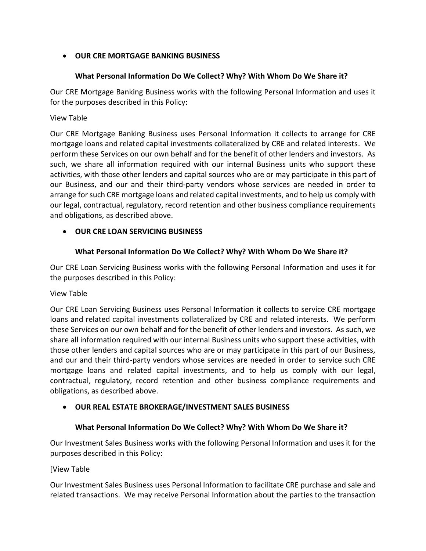# • **OUR CRE MORTGAGE BANKING BUSINESS**

#### **What Personal Information Do We Collect? Why? With Whom Do We Share it?**

Our CRE Mortgage Banking Business works with the following Personal Information and uses it for the purposes described in this Policy:

#### View Table

Our CRE Mortgage Banking Business uses Personal Information it collects to arrange for CRE mortgage loans and related capital investments collateralized by CRE and related interests. We perform these Services on our own behalf and for the benefit of other lenders and investors. As such, we share all information required with our internal Business units who support these activities, with those other lenders and capital sources who are or may participate in this part of our Business, and our and their third-party vendors whose services are needed in order to arrange for such CRE mortgage loans and related capital investments, and to help us comply with our legal, contractual, regulatory, record retention and other business compliance requirements and obligations, as described above.

### • **OUR CRE LOAN SERVICING BUSINESS**

### **What Personal Information Do We Collect? Why? With Whom Do We Share it?**

Our CRE Loan Servicing Business works with the following Personal Information and uses it for the purposes described in this Policy:

#### View Table

Our CRE Loan Servicing Business uses Personal Information it collects to service CRE mortgage loans and related capital investments collateralized by CRE and related interests. We perform these Services on our own behalf and for the benefit of other lenders and investors. As such, we share all information required with our internal Business units who support these activities, with those other lenders and capital sources who are or may participate in this part of our Business, and our and their third-party vendors whose services are needed in order to service such CRE mortgage loans and related capital investments, and to help us comply with our legal, contractual, regulatory, record retention and other business compliance requirements and obligations, as described above.

### • **OUR REAL ESTATE BROKERAGE/INVESTMENT SALES BUSINESS**

### **What Personal Information Do We Collect? Why? With Whom Do We Share it?**

Our Investment Sales Business works with the following Personal Information and uses it for the purposes described in this Policy:

### [View Table

Our Investment Sales Business uses Personal Information to facilitate CRE purchase and sale and related transactions. We may receive Personal Information about the parties to the transaction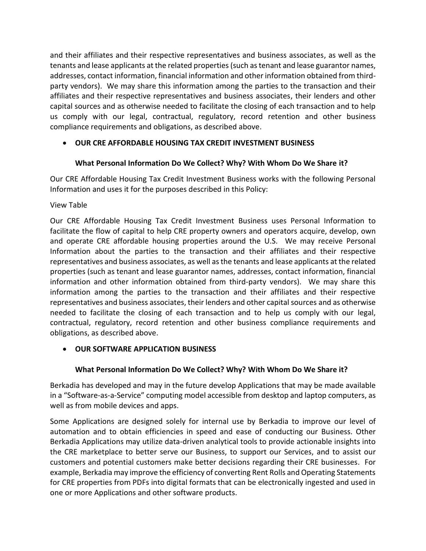and their affiliates and their respective representatives and business associates, as well as the tenants and lease applicants at the related properties(such as tenant and lease guarantor names, addresses, contact information, financial information and other information obtained from thirdparty vendors). We may share this information among the parties to the transaction and their affiliates and their respective representatives and business associates, their lenders and other capital sources and as otherwise needed to facilitate the closing of each transaction and to help us comply with our legal, contractual, regulatory, record retention and other business compliance requirements and obligations, as described above.

# • **OUR CRE AFFORDABLE HOUSING TAX CREDIT INVESTMENT BUSINESS**

# **What Personal Information Do We Collect? Why? With Whom Do We Share it?**

Our CRE Affordable Housing Tax Credit Investment Business works with the following Personal Information and uses it for the purposes described in this Policy:

View Table

Our CRE Affordable Housing Tax Credit Investment Business uses Personal Information to facilitate the flow of capital to help CRE property owners and operators acquire, develop, own and operate CRE affordable housing properties around the U.S. We may receive Personal Information about the parties to the transaction and their affiliates and their respective representatives and business associates, as well as the tenants and lease applicants at the related properties (such as tenant and lease guarantor names, addresses, contact information, financial information and other information obtained from third-party vendors). We may share this information among the parties to the transaction and their affiliates and their respective representatives and business associates, their lenders and other capital sources and as otherwise needed to facilitate the closing of each transaction and to help us comply with our legal, contractual, regulatory, record retention and other business compliance requirements and obligations, as described above.

### • **OUR SOFTWARE APPLICATION BUSINESS**

### **What Personal Information Do We Collect? Why? With Whom Do We Share it?**

Berkadia has developed and may in the future develop Applications that may be made available in a "Software-as-a-Service" computing model accessible from desktop and laptop computers, as well as from mobile devices and apps.

Some Applications are designed solely for internal use by Berkadia to improve our level of automation and to obtain efficiencies in speed and ease of conducting our Business. Other Berkadia Applications may utilize data-driven analytical tools to provide actionable insights into the CRE marketplace to better serve our Business, to support our Services, and to assist our customers and potential customers make better decisions regarding their CRE businesses. For example, Berkadia may improve the efficiency of converting Rent Rolls and Operating Statements for CRE properties from PDFs into digital formats that can be electronically ingested and used in one or more Applications and other software products.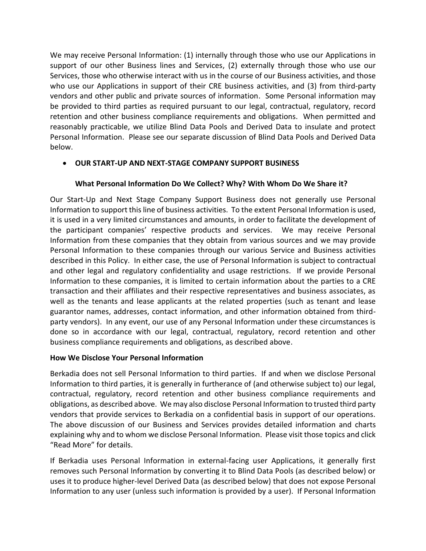We may receive Personal Information: (1) internally through those who use our Applications in support of our other Business lines and Services, (2) externally through those who use our Services, those who otherwise interact with us in the course of our Business activities, and those who use our Applications in support of their CRE business activities, and (3) from third-party vendors and other public and private sources of information. Some Personal information may be provided to third parties as required pursuant to our legal, contractual, regulatory, record retention and other business compliance requirements and obligations. When permitted and reasonably practicable, we utilize Blind Data Pools and Derived Data to insulate and protect Personal Information. Please see our separate discussion of Blind Data Pools and Derived Data below.

### • **OUR START-UP AND NEXT-STAGE COMPANY SUPPORT BUSINESS**

### **What Personal Information Do We Collect? Why? With Whom Do We Share it?**

Our Start-Up and Next Stage Company Support Business does not generally use Personal Information to support this line of business activities. To the extent Personal Information is used, it is used in a very limited circumstances and amounts, in order to facilitate the development of the participant companies' respective products and services. We may receive Personal Information from these companies that they obtain from various sources and we may provide Personal Information to these companies through our various Service and Business activities described in this Policy. In either case, the use of Personal Information is subject to contractual and other legal and regulatory confidentiality and usage restrictions. If we provide Personal Information to these companies, it is limited to certain information about the parties to a CRE transaction and their affiliates and their respective representatives and business associates, as well as the tenants and lease applicants at the related properties (such as tenant and lease guarantor names, addresses, contact information, and other information obtained from thirdparty vendors). In any event, our use of any Personal Information under these circumstances is done so in accordance with our legal, contractual, regulatory, record retention and other business compliance requirements and obligations, as described above.

#### **How We Disclose Your Personal Information**

Berkadia does not sell Personal Information to third parties. If and when we disclose Personal Information to third parties, it is generally in furtherance of (and otherwise subject to) our legal, contractual, regulatory, record retention and other business compliance requirements and obligations, as described above. We may also disclose Personal Information to trusted third party vendors that provide services to Berkadia on a confidential basis in support of our operations. The above discussion of our Business and Services provides detailed information and charts explaining why and to whom we disclose Personal Information. Please visit those topics and click "Read More" for details.

If Berkadia uses Personal Information in external-facing user Applications, it generally first removes such Personal Information by converting it to Blind Data Pools (as described below) or uses it to produce higher-level Derived Data (as described below) that does not expose Personal Information to any user (unless such information is provided by a user). If Personal Information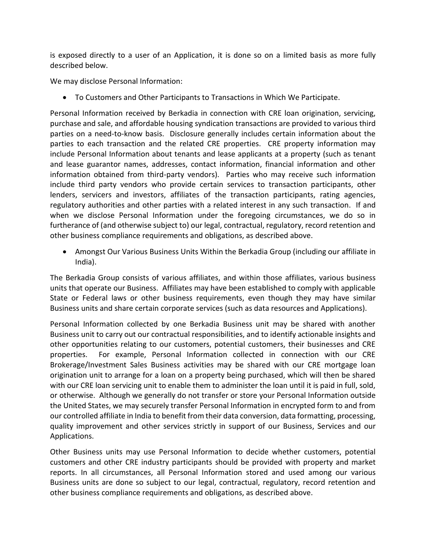is exposed directly to a user of an Application, it is done so on a limited basis as more fully described below.

We may disclose Personal Information:

• To Customers and Other Participants to Transactions in Which We Participate.

Personal Information received by Berkadia in connection with CRE loan origination, servicing, purchase and sale, and affordable housing syndication transactions are provided to various third parties on a need-to-know basis. Disclosure generally includes certain information about the parties to each transaction and the related CRE properties. CRE property information may include Personal Information about tenants and lease applicants at a property (such as tenant and lease guarantor names, addresses, contact information, financial information and other information obtained from third-party vendors). Parties who may receive such information include third party vendors who provide certain services to transaction participants, other lenders, servicers and investors, affiliates of the transaction participants, rating agencies, regulatory authorities and other parties with a related interest in any such transaction. If and when we disclose Personal Information under the foregoing circumstances, we do so in furtherance of (and otherwise subject to) our legal, contractual, regulatory, record retention and other business compliance requirements and obligations, as described above.

• Amongst Our Various Business Units Within the Berkadia Group (including our affiliate in India).

The Berkadia Group consists of various affiliates, and within those affiliates, various business units that operate our Business. Affiliates may have been established to comply with applicable State or Federal laws or other business requirements, even though they may have similar Business units and share certain corporate services (such as data resources and Applications).

Personal Information collected by one Berkadia Business unit may be shared with another Business unit to carry out our contractual responsibilities, and to identify actionable insights and other opportunities relating to our customers, potential customers, their businesses and CRE properties. For example, Personal Information collected in connection with our CRE Brokerage/Investment Sales Business activities may be shared with our CRE mortgage loan origination unit to arrange for a loan on a property being purchased, which will then be shared with our CRE loan servicing unit to enable them to administer the loan until it is paid in full, sold, or otherwise. Although we generally do not transfer or store your Personal Information outside the United States, we may securely transfer Personal Information in encrypted form to and from our controlled affiliate in India to benefit from their data conversion, data formatting, processing, quality improvement and other services strictly in support of our Business, Services and our Applications.

Other Business units may use Personal Information to decide whether customers, potential customers and other CRE industry participants should be provided with property and market reports. In all circumstances, all Personal Information stored and used among our various Business units are done so subject to our legal, contractual, regulatory, record retention and other business compliance requirements and obligations, as described above.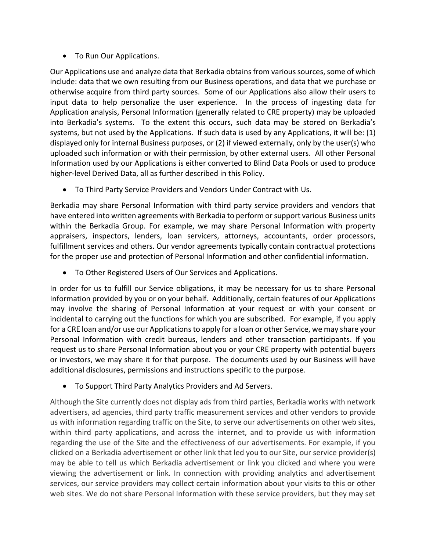• To Run Our Applications.

Our Applications use and analyze data that Berkadia obtains from various sources, some of which include: data that we own resulting from our Business operations, and data that we purchase or otherwise acquire from third party sources. Some of our Applications also allow their users to input data to help personalize the user experience. In the process of ingesting data for Application analysis, Personal Information (generally related to CRE property) may be uploaded into Berkadia's systems. To the extent this occurs, such data may be stored on Berkadia's systems, but not used by the Applications. If such data is used by any Applications, it will be: (1) displayed only for internal Business purposes, or (2) if viewed externally, only by the user(s) who uploaded such information or with their permission, by other external users. All other Personal Information used by our Applications is either converted to Blind Data Pools or used to produce higher-level Derived Data, all as further described in this Policy.

• To Third Party Service Providers and Vendors Under Contract with Us.

Berkadia may share Personal Information with third party service providers and vendors that have entered into written agreements with Berkadia to perform or support various Business units within the Berkadia Group. For example, we may share Personal Information with property appraisers, inspectors, lenders, loan servicers, attorneys, accountants, order processors, fulfillment services and others. Our vendor agreements typically contain contractual protections for the proper use and protection of Personal Information and other confidential information.

• To Other Registered Users of Our Services and Applications.

In order for us to fulfill our Service obligations, it may be necessary for us to share Personal Information provided by you or on your behalf. Additionally, certain features of our Applications may involve the sharing of Personal Information at your request or with your consent or incidental to carrying out the functions for which you are subscribed. For example, if you apply for a CRE loan and/or use our Applications to apply for a loan or other Service, we may share your Personal Information with credit bureaus, lenders and other transaction participants. If you request us to share Personal Information about you or your CRE property with potential buyers or investors, we may share it for that purpose. The documents used by our Business will have additional disclosures, permissions and instructions specific to the purpose.

• To Support Third Party Analytics Providers and Ad Servers.

Although the Site currently does not display ads from third parties, Berkadia works with network advertisers, ad agencies, third party traffic measurement services and other vendors to provide us with information regarding traffic on the Site, to serve our advertisements on other web sites, within third party applications, and across the internet, and to provide us with information regarding the use of the Site and the effectiveness of our advertisements. For example, if you clicked on a Berkadia advertisement or other link that led you to our Site, our service provider(s) may be able to tell us which Berkadia advertisement or link you clicked and where you were viewing the advertisement or link. In connection with providing analytics and advertisement services, our service providers may collect certain information about your visits to this or other web sites. We do not share Personal Information with these service providers, but they may set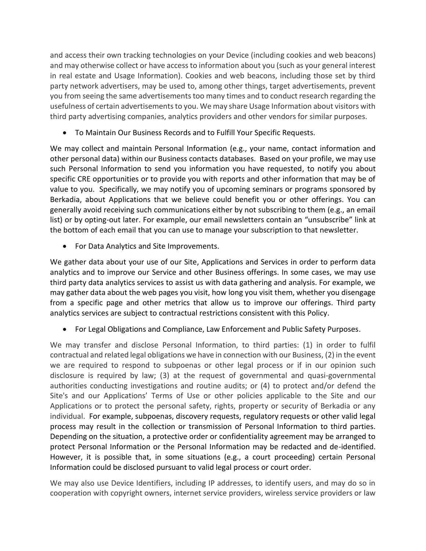and access their own tracking technologies on your Device (including cookies and web beacons) and may otherwise collect or have access to information about you (such as your general interest in real estate and Usage Information). Cookies and web beacons, including those set by third party network advertisers, may be used to, among other things, target advertisements, prevent you from seeing the same advertisements too many times and to conduct research regarding the usefulness of certain advertisements to you. We may share Usage Information about visitors with third party advertising companies, analytics providers and other vendors for similar purposes.

• To Maintain Our Business Records and to Fulfill Your Specific Requests.

We may collect and maintain Personal Information (e.g., your name, contact information and other personal data) within our Business contacts databases. Based on your profile, we may use such Personal Information to send you information you have requested, to notify you about specific CRE opportunities or to provide you with reports and other information that may be of value to you. Specifically, we may notify you of upcoming seminars or programs sponsored by Berkadia, about Applications that we believe could benefit you or other offerings. You can generally avoid receiving such communications either by not subscribing to them (e.g., an email list) or by opting-out later. For example, our email newsletters contain an "unsubscribe" link at the bottom of each email that you can use to manage your subscription to that newsletter.

• For Data Analytics and Site Improvements.

We gather data about your use of our Site, Applications and Services in order to perform data analytics and to improve our Service and other Business offerings. In some cases, we may use third party data analytics services to assist us with data gathering and analysis. For example, we may gather data about the web pages you visit, how long you visit them, whether you disengage from a specific page and other metrics that allow us to improve our offerings. Third party analytics services are subject to contractual restrictions consistent with this Policy.

• For Legal Obligations and Compliance, Law Enforcement and Public Safety Purposes.

We may transfer and disclose Personal Information, to third parties: (1) in order to fulfil contractual and related legal obligations we have in connection with our Business, (2) in the event we are required to respond to subpoenas or other legal process or if in our opinion such disclosure is required by law; (3) at the request of governmental and quasi-governmental authorities conducting investigations and routine audits; or (4) to protect and/or defend the Site's and our Applications' Terms of Use or other policies applicable to the Site and our Applications or to protect the personal safety, rights, property or security of Berkadia or any individual. For example, subpoenas, discovery requests, regulatory requests or other valid legal process may result in the collection or transmission of Personal Information to third parties. Depending on the situation, a protective order or confidentiality agreement may be arranged to protect Personal Information or the Personal Information may be redacted and de-identified. However, it is possible that, in some situations (e.g., a court proceeding) certain Personal Information could be disclosed pursuant to valid legal process or court order.

We may also use Device Identifiers, including IP addresses, to identify users, and may do so in cooperation with copyright owners, internet service providers, wireless service providers or law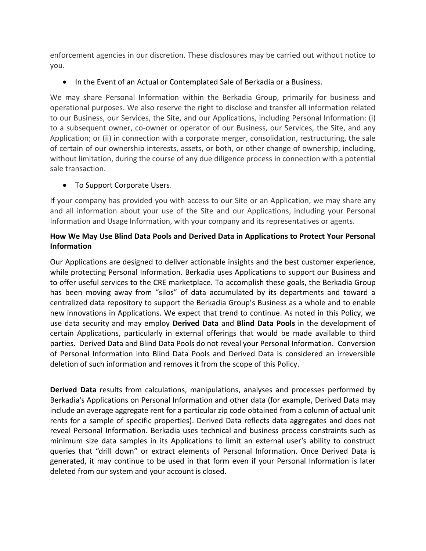enforcement agencies in our discretion. These disclosures may be carried out without notice to you.

• In the Event of an Actual or Contemplated Sale of Berkadia or a Business.

We may share Personal Information within the Berkadia Group, primarily for business and operational purposes. We also reserve the right to disclose and transfer all information related to our Business, our Services, the Site, and our Applications, including Personal Information: (i) to a subsequent owner, co-owner or operator of our Business, our Services, the Site, and any Application; or (ii) in connection with a corporate merger, consolidation, restructuring, the sale of certain of our ownership interests, assets, or both, or other change of ownership, including, without limitation, during the course of any due diligence process in connection with a potential sale transaction.

• To Support Corporate Users.

If your company has provided you with access to our Site or an Application, we may share any and all information about your use of the Site and our Applications, including your Personal Information and Usage Information, with your company and its representatives or agents.

## **How We May Use Blind Data Pools and Derived Data in Applications to Protect Your Personal Information**

Our Applications are designed to deliver actionable insights and the best customer experience, while protecting Personal Information. Berkadia uses Applications to support our Business and to offer useful services to the CRE marketplace. To accomplish these goals, the Berkadia Group has been moving away from "silos" of data accumulated by its departments and toward a centralized data repository to support the Berkadia Group's Business as a whole and to enable new innovations in Applications. We expect that trend to continue. As noted in this Policy, we use data security and may employ **Derived Data** and **Blind Data Pools** in the development of certain Applications, particularly in external offerings that would be made available to third parties. Derived Data and Blind Data Pools do not reveal your Personal Information. Conversion of Personal Information into Blind Data Pools and Derived Data is considered an irreversible deletion of such information and removes it from the scope of this Policy.

**Derived Data** results from calculations, manipulations, analyses and processes performed by Berkadia's Applications on Personal Information and other data (for example, Derived Data may include an average aggregate rent for a particular zip code obtained from a column of actual unit rents for a sample of specific properties). Derived Data reflects data aggregates and does not reveal Personal Information. Berkadia uses technical and business process constraints such as minimum size data samples in its Applications to limit an external user's ability to construct queries that "drill down" or extract elements of Personal Information. Once Derived Data is generated, it may continue to be used in that form even if your Personal Information is later deleted from our system and your account is closed.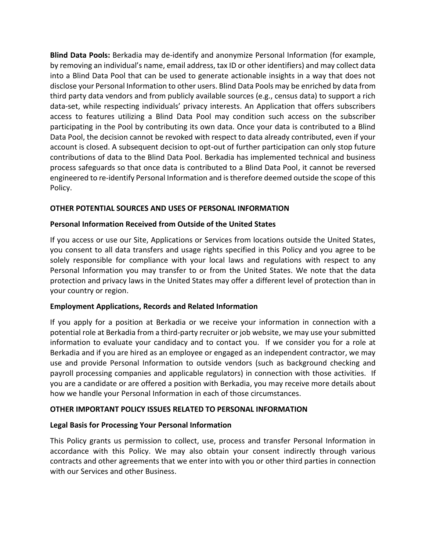**Blind Data Pools:** Berkadia may de-identify and anonymize Personal Information (for example, by removing an individual's name, email address, tax ID or other identifiers) and may collect data into a Blind Data Pool that can be used to generate actionable insights in a way that does not disclose your Personal Information to other users. Blind Data Pools may be enriched by data from third party data vendors and from publicly available sources (e.g., census data) to support a rich data-set, while respecting individuals' privacy interests. An Application that offers subscribers access to features utilizing a Blind Data Pool may condition such access on the subscriber participating in the Pool by contributing its own data. Once your data is contributed to a Blind Data Pool, the decision cannot be revoked with respect to data already contributed, even if your account is closed. A subsequent decision to opt-out of further participation can only stop future contributions of data to the Blind Data Pool. Berkadia has implemented technical and business process safeguards so that once data is contributed to a Blind Data Pool, it cannot be reversed engineered to re-identify Personal Information and is therefore deemed outside the scope of this Policy.

#### **OTHER POTENTIAL SOURCES AND USES OF PERSONAL INFORMATION**

#### **Personal Information Received from Outside of the United States**

If you access or use our Site, Applications or Services from locations outside the United States, you consent to all data transfers and usage rights specified in this Policy and you agree to be solely responsible for compliance with your local laws and regulations with respect to any Personal Information you may transfer to or from the United States. We note that the data protection and privacy laws in the United States may offer a different level of protection than in your country or region.

#### **Employment Applications, Records and Related Information**

If you apply for a position at Berkadia or we receive your information in connection with a potential role at Berkadia from a third-party recruiter or job website, we may use your submitted information to evaluate your candidacy and to contact you. If we consider you for a role at Berkadia and if you are hired as an employee or engaged as an independent contractor, we may use and provide Personal Information to outside vendors (such as background checking and payroll processing companies and applicable regulators) in connection with those activities. If you are a candidate or are offered a position with Berkadia, you may receive more details about how we handle your Personal Information in each of those circumstances.

### **OTHER IMPORTANT POLICY ISSUES RELATED TO PERSONAL INFORMATION**

### **Legal Basis for Processing Your Personal Information**

This Policy grants us permission to collect, use, process and transfer Personal Information in accordance with this Policy. We may also obtain your consent indirectly through various contracts and other agreements that we enter into with you or other third parties in connection with our Services and other Business.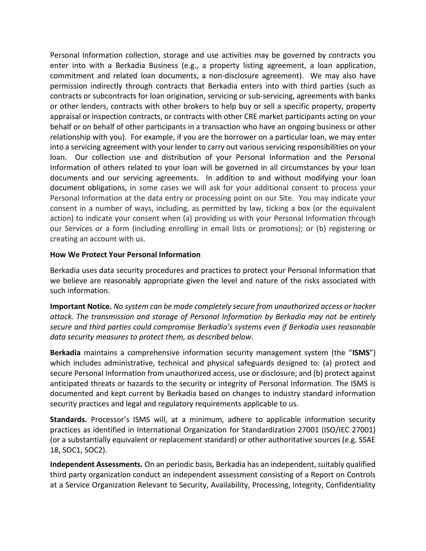Personal Information collection, storage and use activities may be governed by contracts you enter into with a Berkadia Business (e.g., a property listing agreement, a loan application, commitment and related loan documents, a non-disclosure agreement). We may also have permission indirectly through contracts that Berkadia enters into with third parties (such as contracts or subcontracts for loan origination, servicing or sub-servicing, agreements with banks or other lenders, contracts with other brokers to help buy or sell a specific property, property appraisal or inspection contracts, or contracts with other CRE market participants acting on your behalf or on behalf of other participants in a transaction who have an ongoing business or other relationship with you). For example, if you are the borrower on a particular loan, we may enter into a servicing agreement with your lender to carry out various servicing responsibilities on your loan. Our collection use and distribution of your Personal Information and the Personal Information of others related to your loan will be governed in all circumstances by your loan documents and our servicing agreements. In addition to and without modifying your loan document obligations, in some cases we will ask for your additional consent to process your Personal Information at the data entry or processing point on our Site. You may indicate your consent in a number of ways, including, as permitted by law, ticking a box (or the equivalent action) to indicate your consent when (a) providing us with your Personal Information through our Services or a form (including enrolling in email lists or promotions); or (b) registering or creating an account with us.

#### **How We Protect Your Personal Information**

Berkadia uses data security procedures and practices to protect your Personal Information that we believe are reasonably appropriate given the level and nature of the risks associated with such information.

**Important Notice.** *No system can be made completely secure from unauthorized access or hacker attack. The transmission and storage of Personal Information by Berkadia may not be entirely secure and third parties could compromise Berkadia's systems even if Berkadia uses reasonable data security measures to protect them, as described below*.

**Berkadia** maintains a comprehensive information security management system (the "**ISMS**") which includes administrative, technical and physical safeguards designed to: (a) protect and secure Personal Information from unauthorized access, use or disclosure; and (b) protect against anticipated threats or hazards to the security or integrity of Personal Information. The ISMS is documented and kept current by Berkadia based on changes to industry standard information security practices and legal and regulatory requirements applicable to us.

**Standards.** Processor's ISMS will, at a minimum, adhere to applicable information security practices as identified in International Organization for Standardization 27001 (ISO/IEC 27001) (or a substantially equivalent or replacement standard) or other authoritative sources (e.g. SSAE 18, SOC1, SOC2).

**Independent Assessments.** On an periodic basis, Berkadia has an independent, suitably qualified third party organization conduct an independent assessment consisting of a Report on Controls at a Service Organization Relevant to Security, Availability, Processing, Integrity, Confidentiality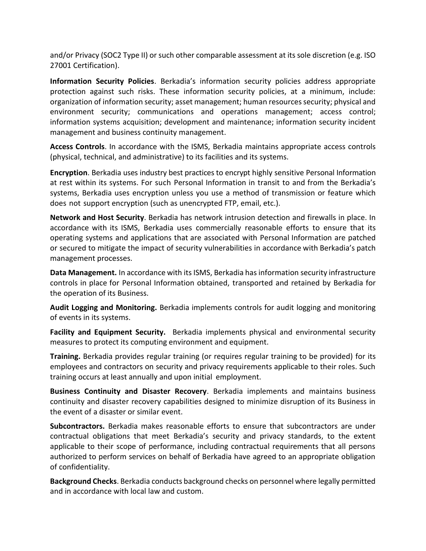and/or Privacy (SOC2 Type II) or such other comparable assessment at its sole discretion (e.g. ISO 27001 Certification).

**Information Security Policies**. Berkadia's information security policies address appropriate protection against such risks. These information security policies, at a minimum, include: organization of information security; asset management; human resources security; physical and environment security; communications and operations management; access control; information systems acquisition; development and maintenance; information security incident management and business continuity management.

**Access Controls**. In accordance with the ISMS, Berkadia maintains appropriate access controls (physical, technical, and administrative) to its facilities and its systems.

**Encryption**. Berkadia uses industry best practices to encrypt highly sensitive Personal Information at rest within its systems. For such Personal Information in transit to and from the Berkadia's systems, Berkadia uses encryption unless you use a method of transmission or feature which does not support encryption (such as unencrypted FTP, email, etc.).

**Network and Host Security**. Berkadia has network intrusion detection and firewalls in place. In accordance with its ISMS, Berkadia uses commercially reasonable efforts to ensure that its operating systems and applications that are associated with Personal Information are patched or secured to mitigate the impact of security vulnerabilities in accordance with Berkadia's patch management processes.

**Data Management.** In accordance with its ISMS, Berkadia has information security infrastructure controls in place for Personal Information obtained, transported and retained by Berkadia for the operation of its Business.

**Audit Logging and Monitoring.** Berkadia implements controls for audit logging and monitoring of events in its systems.

**Facility and Equipment Security.** Berkadia implements physical and environmental security measures to protect its computing environment and equipment.

**Training.** Berkadia provides regular training (or requires regular training to be provided) for its employees and contractors on security and privacy requirements applicable to their roles. Such training occurs at least annually and upon initial employment.

**Business Continuity and Disaster Recovery**. Berkadia implements and maintains business continuity and disaster recovery capabilities designed to minimize disruption of its Business in the event of a disaster or similar event.

**Subcontractors.** Berkadia makes reasonable efforts to ensure that subcontractors are under contractual obligations that meet Berkadia's security and privacy standards, to the extent applicable to their scope of performance, including contractual requirements that all persons authorized to perform services on behalf of Berkadia have agreed to an appropriate obligation of confidentiality.

**Background Checks**. Berkadia conducts background checks on personnel where legally permitted and in accordance with local law and custom.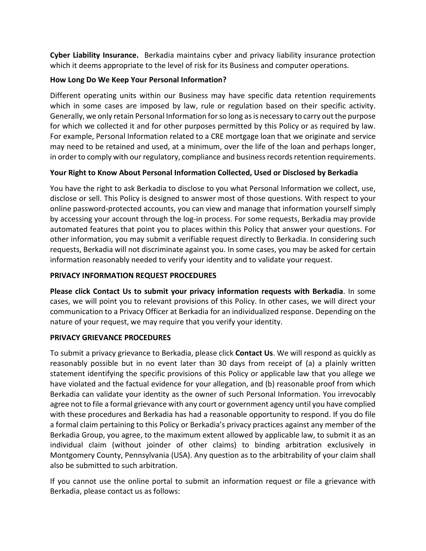**Cyber Liability Insurance.** Berkadia maintains cyber and privacy liability insurance protection which it deems appropriate to the level of risk for its Business and computer operations.

## **How Long Do We Keep Your Personal Information?**

Different operating units within our Business may have specific data retention requirements which in some cases are imposed by law, rule or regulation based on their specific activity. Generally, we only retain Personal Information for so long as is necessary to carry out the purpose for which we collected it and for other purposes permitted by this Policy or as required by law. For example, Personal Information related to a CRE mortgage loan that we originate and service may need to be retained and used, at a minimum, over the life of the loan and perhaps longer, in order to comply with our regulatory, compliance and business records retention requirements.

# **Your Right to Know About Personal Information Collected, Used or Disclosed by Berkadia**

You have the right to ask Berkadia to disclose to you what Personal Information we collect, use, disclose or sell. This Policy is designed to answer most of those questions. With respect to your online password-protected accounts, you can view and manage that information yourself simply by accessing your account through the log-in process. For some requests, Berkadia may provide automated features that point you to places within this Policy that answer your questions. For other information, you may submit a verifiable request directly to Berkadia. In considering such requests, Berkadia will not discriminate against you. In some cases, you may be asked for certain information reasonably needed to verify your identity and to validate your request.

# **PRIVACY INFORMATION REQUEST PROCEDURES**

**Please click Contact Us to submit your privacy information requests with Berkadia**. In some cases, we will point you to relevant provisions of this Policy. In other cases, we will direct your communication to a Privacy Officer at Berkadia for an individualized response. Depending on the nature of your request, we may require that you verify your identity.

### **PRIVACY GRIEVANCE PROCEDURES**

To submit a privacy grievance to Berkadia, please click **Contact Us**. We will respond as quickly as reasonably possible but in no event later than 30 days from receipt of (a) a plainly written statement identifying the specific provisions of this Policy or applicable law that you allege we have violated and the factual evidence for your allegation, and (b) reasonable proof from which Berkadia can validate your identity as the owner of such Personal Information. You irrevocably agree not to file a formal grievance with any court or government agency until you have complied with these procedures and Berkadia has had a reasonable opportunity to respond. If you do file a formal claim pertaining to this Policy or Berkadia's privacy practices against any member of the Berkadia Group, you agree, to the maximum extent allowed by applicable law, to submit it as an individual claim (without joinder of other claims) to binding arbitration exclusively in Montgomery County, Pennsylvania (USA). Any question as to the arbitrability of your claim shall also be submitted to such arbitration.

If you cannot use the online portal to submit an information request or file a grievance with Berkadia, please contact us as follows: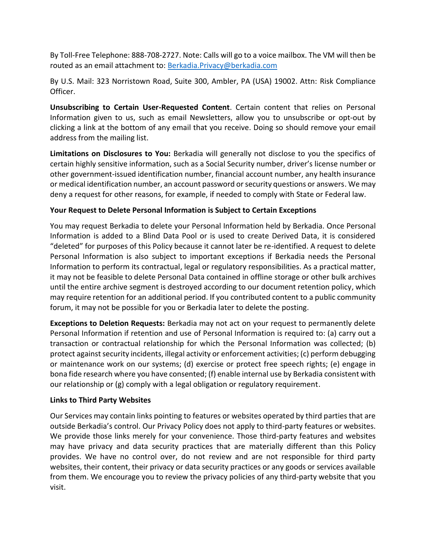By Toll-Free Telephone: 888-708-2727. Note: Calls will go to a voice mailbox. The VM will then be routed as an email attachment to: [Berkadia.Privacy@berkadia.com](mailto:Berkadia.Privacy@berkadia.com)

By U.S. Mail: 323 Norristown Road, Suite 300, Ambler, PA (USA) 19002. Attn: Risk Compliance Officer.

**Unsubscribing to Certain User-Requested Content**. Certain content that relies on Personal Information given to us, such as email Newsletters, allow you to unsubscribe or opt-out by clicking a link at the bottom of any email that you receive. Doing so should remove your email address from the mailing list.

**Limitations on Disclosures to You:** Berkadia will generally not disclose to you the specifics of certain highly sensitive information, such as a Social Security number, driver's license number or other government-issued identification number, financial account number, any health insurance or medical identification number, an account password or security questions or answers. We may deny a request for other reasons, for example, if needed to comply with State or Federal law.

### **Your Request to Delete Personal Information is Subject to Certain Exceptions**

You may request Berkadia to delete your Personal Information held by Berkadia. Once Personal Information is added to a Blind Data Pool or is used to create Derived Data, it is considered "deleted" for purposes of this Policy because it cannot later be re-identified. A request to delete Personal Information is also subject to important exceptions if Berkadia needs the Personal Information to perform its contractual, legal or regulatory responsibilities. As a practical matter, it may not be feasible to delete Personal Data contained in offline storage or other bulk archives until the entire archive segment is destroyed according to our document retention policy, which may require retention for an additional period. If you contributed content to a public community forum, it may not be possible for you or Berkadia later to delete the posting.

**Exceptions to Deletion Requests:** Berkadia may not act on your request to permanently delete Personal Information if retention and use of Personal Information is required to: (a) carry out a transaction or contractual relationship for which the Personal Information was collected; (b) protect against security incidents, illegal activity or enforcement activities; (c) perform debugging or maintenance work on our systems; (d) exercise or protect free speech rights; (e) engage in bona fide research where you have consented; (f) enable internal use by Berkadia consistent with our relationship or (g) comply with a legal obligation or regulatory requirement.

### **Links to Third Party Websites**

Our Services may contain links pointing to features or websites operated by third parties that are outside Berkadia's control. Our Privacy Policy does not apply to third-party features or websites. We provide those links merely for your convenience. Those third-party features and websites may have privacy and data security practices that are materially different than this Policy provides. We have no control over, do not review and are not responsible for third party websites, their content, their privacy or data security practices or any goods or services available from them. We encourage you to review the privacy policies of any third-party website that you visit.